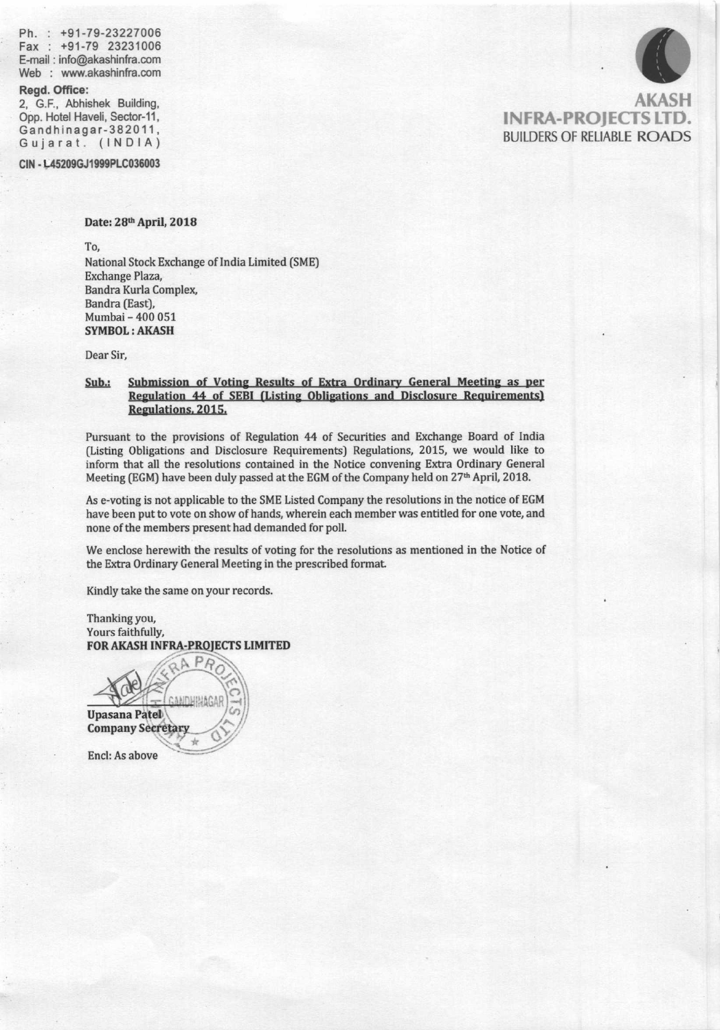Ph. : +91-79-23227006 Fax : +91-79 <sup>23231006</sup> E-mail : info@akashinfra.com Web : www.akashinfra.com

#### Regd. Office:

2, G.F., Abhishek Building, Opp. Hotel Haveli, Sector-11, Gandhinagar-382011, Gu jarat. (lNDlA)

CIN - L45209GJ1999PLC036003

### Date: 28th April, 2018

To.

National Stock Exchange of India Limited (SME) Exchange Plaza, Bandra Kurla Complex Bandra (East), Mumbai - 400 051 SYMBOL: AKASH

Dear Sir,

### Sub.: Submission of Voting Results of Extra Ordinary General Meeting as per Regulation 44 of SEBI (Listing Obligations and Disclosure Requirements) Regulations, 2015.

Pursuant to the provisions of Regulation 44 of Securities and Exchange Board of India (Listing Obligations and Disclosure Requirements) Regulations, 2015, we would like to inform that all the resolutions contained in the Notice convening Extra Ordinary General Meeting (EGM) have been duly passed at the EGM of the Company held on 27<sup>th</sup> April, 2018.

As e-voting is not applicable to the SME Listed Company the resolutions in the notice of EGM have been put to vote on show of hands, wherein each member was entitled for one vote, and none of the members present had demanded for poll.

We enclose herewith the results of voting for the resoludons as mentioned in the Notice of the Extra Ordinary General Meeting in the prescribed format

Kindly take the same on your records.

Thanking you Yours faithfully,<br>FOR AKASH INFRA-PROJECTS LIMITED

**Upasana Patel Company Secretary** Encl: As above



AKASH INFRA-PROJECTS LTD. **BUILDERS OF RELIABLE ROADS**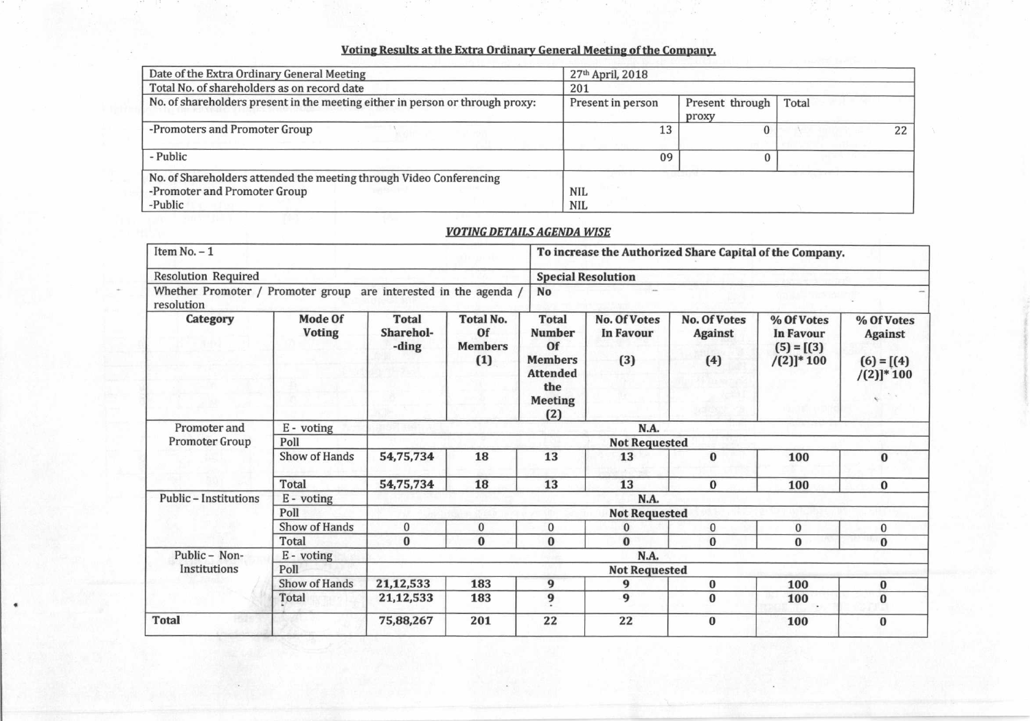# Voting Results at the Extra Ordinary General Meeting of the Company.

| Date of the Extra Ordinary General Meeting                                                                     | 27th April, 2018         |                          |       |  |
|----------------------------------------------------------------------------------------------------------------|--------------------------|--------------------------|-------|--|
| Total No. of shareholders as on record date                                                                    | 201                      |                          |       |  |
| No. of shareholders present in the meeting either in person or through proxy:                                  | Present in person        | Present through<br>proxy | Total |  |
| -Promoters and Promoter Group                                                                                  | 13                       |                          | 22    |  |
| - Public                                                                                                       | 09                       |                          |       |  |
| No. of Shareholders attended the meeting through Video Conferencing<br>-Promoter and Promoter Group<br>-Public | <b>NIL</b><br><b>NIL</b> |                          |       |  |

# **VOTING DETAILS AGENDA WISE**

| Item No. $-1$<br><b>Resolution Required</b><br>Whether Promoter / Promoter group<br>are interested in the agenda /<br>resolution |                                 |                                    |                                                 | To increase the Authorized Share Capital of the Company.                                                 |                                                |                                              |                                                                  |                                                                |  |  |
|----------------------------------------------------------------------------------------------------------------------------------|---------------------------------|------------------------------------|-------------------------------------------------|----------------------------------------------------------------------------------------------------------|------------------------------------------------|----------------------------------------------|------------------------------------------------------------------|----------------------------------------------------------------|--|--|
|                                                                                                                                  |                                 |                                    |                                                 |                                                                                                          | <b>Special Resolution</b>                      |                                              |                                                                  |                                                                |  |  |
|                                                                                                                                  |                                 |                                    |                                                 | <b>No</b>                                                                                                |                                                |                                              |                                                                  |                                                                |  |  |
| <b>Category</b>                                                                                                                  | <b>Mode Of</b><br><b>Voting</b> | <b>Total</b><br>Sharehol-<br>-ding | <b>Total No.</b><br>Of<br><b>Members</b><br>(1) | <b>Total</b><br><b>Number</b><br>Of<br><b>Members</b><br><b>Attended</b><br>the<br><b>Meeting</b><br>(2) | <b>No. Of Votes</b><br><b>In Favour</b><br>(3) | <b>No. Of Votes</b><br><b>Against</b><br>(4) | % Of Votes<br><b>In Favour</b><br>$(5) = [(3)]$<br>$/(2)]^* 100$ | % Of Votes<br><b>Against</b><br>$(6) = [(4)]$<br>$/(2)]$ * 100 |  |  |
| Promoter and                                                                                                                     | E - voting                      | N.A.                               |                                                 |                                                                                                          |                                                |                                              |                                                                  |                                                                |  |  |
| Promoter Group                                                                                                                   | Poll                            | <b>Not Requested</b>               |                                                 |                                                                                                          |                                                |                                              |                                                                  |                                                                |  |  |
|                                                                                                                                  | Show of Hands                   | 54,75,734                          | 18                                              | 13                                                                                                       | 13                                             | $\bf{0}$                                     | 100                                                              | $\bf{0}$                                                       |  |  |
|                                                                                                                                  | <b>Total</b>                    | 54,75,734                          | 18                                              | 13                                                                                                       | 13                                             | $\bf{0}$                                     | 100                                                              | $\bf{0}$                                                       |  |  |
| <b>Public - Institutions</b>                                                                                                     | E - voting                      | N.A.                               |                                                 |                                                                                                          |                                                |                                              |                                                                  |                                                                |  |  |
|                                                                                                                                  | Poll                            | <b>Not Requested</b>               |                                                 |                                                                                                          |                                                |                                              |                                                                  |                                                                |  |  |
|                                                                                                                                  | Show of Hands                   | $\mathbf{0}$                       | $\bf{0}$                                        | $\mathbf{0}$                                                                                             | $\mathbf{0}$                                   | $\bf{0}$                                     | $\bf{0}$                                                         | $\mathbf{0}$                                                   |  |  |
|                                                                                                                                  | Total                           | $\bf{0}$                           | $\bf{0}$                                        | $\bf{0}$                                                                                                 | $\bf{0}$                                       | $\bf{0}$                                     | $\bf{0}$                                                         | $\bf{0}$                                                       |  |  |
| Public - Non-<br>Institutions                                                                                                    | E - voting                      | N.A.                               |                                                 |                                                                                                          |                                                |                                              |                                                                  |                                                                |  |  |
|                                                                                                                                  | Poll                            | <b>Not Requested</b>               |                                                 |                                                                                                          |                                                |                                              |                                                                  |                                                                |  |  |
|                                                                                                                                  | Show of Hands                   | 21,12,533                          | 183                                             | 9                                                                                                        | 9                                              | $\bf{0}$                                     | 100                                                              | $\bf{0}$                                                       |  |  |
|                                                                                                                                  | Total                           | 21, 12, 533                        | 183                                             | 9                                                                                                        | 9                                              | $\bf{0}$                                     | 100                                                              | $\bf{0}$                                                       |  |  |
| <b>Total</b>                                                                                                                     |                                 | 75,88,267                          | 201                                             | 22                                                                                                       | 22                                             | $\bf{0}$                                     | 100                                                              | $\bf{0}$                                                       |  |  |